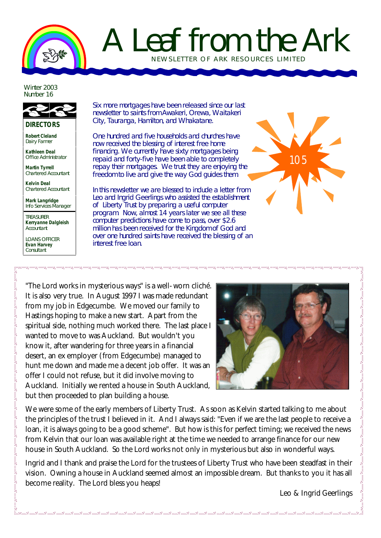

## A Leaf from the Ark NEWSLETTER OF ARK RESOURCES LIMITED

Winter 2003 Number 16

**DIRECTORS**

**Robert Cleland** Dairy Farmer

**Kathleen Deal** Office Administrator

**Martin Tyrrell** Chartered Accountant

**Kelvin Deal** Chartered Accountant

**Mark Langridge** Info Services Manager

TREASURER **Kerryanne Dalgleish** Accountant

LOANS OFFICER **Evan Harvey Consultant** 

Six more mortgages have been released since our last newsletter to saints from Awakeri, Orewa, Waitakeri City, Tauranga, Hamilton, and Whakatane.

One hundred and five households and churches have now received the blessing of interest free home financing. We currently have sixty mortgages being repaid and forty-five have been able to completely repay their mortgages. We trust they are enjoying the freedom to live and give the way God guides them.

In this newsletter we are blessed to include a letter from Leo and Ingrid Geerlings who assisted the establishment of Liberty Trust by preparing a useful computer program. Now, almost 14 years later we see all these computer predictions have come to pass, over \$2.6 million has been received for the Kingdom of God and over one hundred saints have received the blessing of an interest free loan.



"The Lord works in mysterious ways" is a well-worn cliché. It is also very true. In August 1997 I was made redundant from my job in Edgecumbe. We moved our family to Hastings hoping to make a new start. Apart from the spiritual side, nothing much worked there. The last place I wanted to move to was Auckland. But wouldn't you know it, after wandering for three years in a financial desert, an ex employer (from Edgecumbe) managed to hunt me down and made me a decent job offer. It was an offer I could not refuse, but it did involve moving to Auckland. Initially we rented a house in South Auckland, but then proceeded to plan building a house.



We were some of the early members of Liberty Trust. As soon as Kelvin started talking to me about the principles of the trust I believed in it. And I always said: "Even if we are the last people to receive a loan, it is always going to be a good scheme". But how is this for perfect timing; we received the news from Kelvin that our loan was available right at the time we needed to arrange finance for our new house in South Auckland. So the Lord works not only in mysterious but also in wonderful ways.

Ingrid and I thank and praise the Lord for the trustees of Liberty Trust who have been steadfast in their vision. Owning a house in Auckland seemed almost an impossible dream. But thanks to you it has all become reality. The Lord bless you heaps!

Leo & Ingrid Geerlings